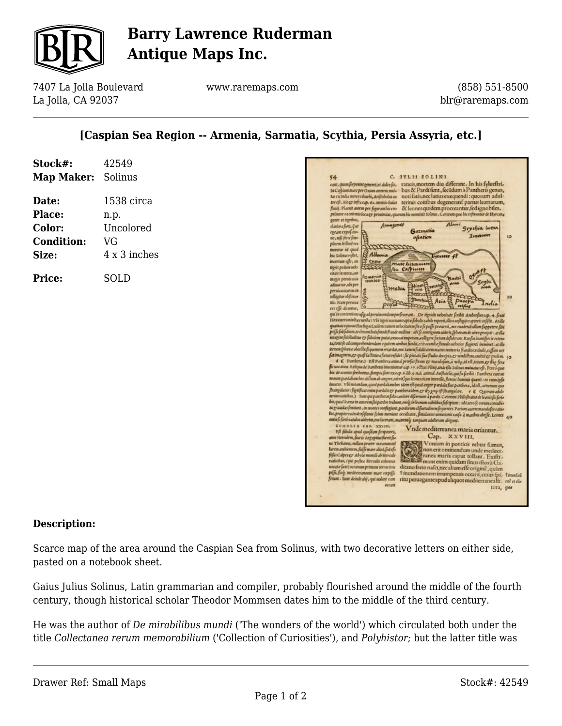

## **Barry Lawrence Ruderman Antique Maps Inc.**

7407 La Jolla Boulevard La Jolla, CA 92037

www.raremaps.com

(858) 551-8500 blr@raremaps.com

## **[Caspian Sea Region -- Armenia, Sarmatia, Scythia, Persia Assyria, etc.]**

| Map Maker: Solinus |
|--------------------|
| 1538 circa         |
| n.p.               |
| Uncolored          |
|                    |
| 4 x 3 inches       |
| SOLD               |
|                    |
|                    |



#### **Description:**

Scarce map of the area around the Caspian Sea from Solinus, with two decorative letters on either side, pasted on a notebook sheet.

Gaius Julius Solinus, Latin grammarian and compiler, probably flourished around the middle of the fourth century, though historical scholar Theodor Mommsen dates him to the middle of the third century.

He was the author of *De mirabilibus mundi* ('The wonders of the world') which circulated both under the title *Collectanea rerum memorabilium* ('Collection of Curiosities'), and *Polyhistor;* but the latter title was